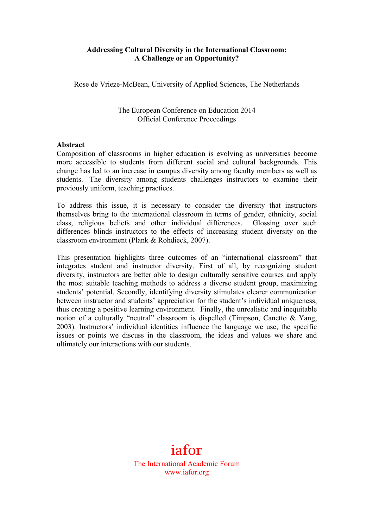#### **Addressing Cultural Diversity in the International Classroom: A Challenge or an Opportunity?**

Rose de Vrieze-McBean, University of Applied Sciences, The Netherlands

The European Conference on Education 2014 Official Conference Proceedings

#### **Abstract**

Composition of classrooms in higher education is evolving as universities become more accessible to students from different social and cultural backgrounds. This change has led to an increase in campus diversity among faculty members as well as students. The diversity among students challenges instructors to examine their previously uniform, teaching practices.

To address this issue, it is necessary to consider the diversity that instructors themselves bring to the international classroom in terms of gender, ethnicity, social class, religious beliefs and other individual differences. Glossing over such differences blinds instructors to the effects of increasing student diversity on the classroom environment (Plank & Rohdieck, 2007).

This presentation highlights three outcomes of an "international classroom" that integrates student and instructor diversity. First of all, by recognizing student diversity, instructors are better able to design culturally sensitive courses and apply the most suitable teaching methods to address a diverse student group, maximizing students' potential. Secondly, identifying diversity stimulates clearer communication between instructor and students' appreciation for the student's individual uniqueness, thus creating a positive learning environment. Finally, the unrealistic and inequitable notion of a culturally "neutral" classroom is dispelled (Timpson, Canetto & Yang, 2003). Instructors' individual identities influence the language we use, the specific issues or points we discuss in the classroom, the ideas and values we share and ultimately our interactions with our students.

# iafor

The International Academic Forum www.iafor.org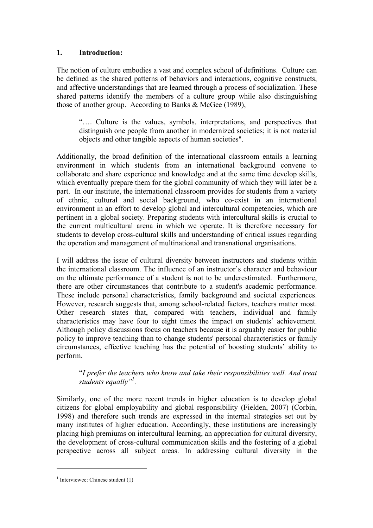#### **1. Introduction:**

The notion of culture embodies a vast and complex school of definitions. Culture can be defined as the shared patterns of behaviors and interactions, cognitive constructs, and affective understandings that are learned through a process of socialization. These shared patterns identify the members of a culture group while also distinguishing those of another group. According to Banks & McGee (1989),

"…. Culture is the values, symbols, interpretations, and perspectives that distinguish one people from another in modernized societies; it is not material objects and other tangible aspects of human societies".

Additionally, the broad definition of the international classroom entails a learning environment in which students from an international background convene to collaborate and share experience and knowledge and at the same time develop skills, which eventually prepare them for the global community of which they will later be a part. In our institute, the international classroom provides for students from a variety of ethnic, cultural and social background, who co-exist in an international environment in an effort to develop global and intercultural competencies, which are pertinent in a global society. Preparing students with intercultural skills is crucial to the current multicultural arena in which we operate. It is therefore necessary for students to develop cross-cultural skills and understanding of critical issues regarding the operation and management of multinational and transnational organisations.

I will address the issue of cultural diversity between instructors and students within the international classroom. The influence of an instructor's character and behaviour on the ultimate performance of a student is not to be underestimated. Furthermore, there are other circumstances that contribute to a student's academic performance. These include personal characteristics, family background and societal experiences. However, research suggests that, among school-related factors, teachers matter most. Other research states that, compared with teachers, individual and family characteristics may have four to eight times the impact on students' achievement. Although policy discussions focus on teachers because it is arguably easier for public policy to improve teaching than to change students' personal characteristics or family circumstances, effective teaching has the potential of boosting students' ability to perform.

#### "*I prefer the teachers who know and take their responsibilities well. And treat students equally"1 .*

Similarly, one of the more recent trends in higher education is to develop global citizens for global employability and global responsibility (Fielden, 2007) (Corbin, 1998) and therefore such trends are expressed in the internal strategies set out by many institutes of higher education. Accordingly, these institutions are increasingly placing high premiums on intercultural learning, an appreciation for cultural diversity, the development of cross-cultural communication skills and the fostering of a global perspective across all subject areas. In addressing cultural diversity in the

 $\overline{a}$ 

 $<sup>1</sup>$  Interviewee: Chinese student (1)</sup>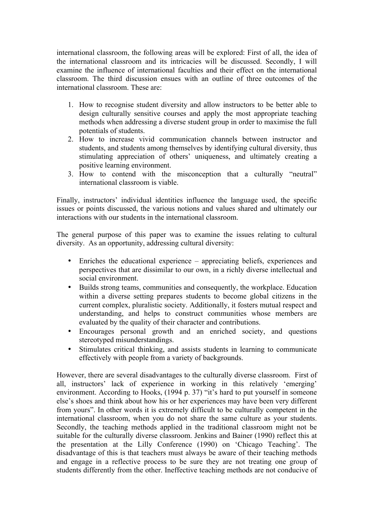international classroom, the following areas will be explored: First of all, the idea of the international classroom and its intricacies will be discussed. Secondly, I will examine the influence of international faculties and their effect on the international classroom. The third discussion ensues with an outline of three outcomes of the international classroom. These are:

- 1. How to recognise student diversity and allow instructors to be better able to design culturally sensitive courses and apply the most appropriate teaching methods when addressing a diverse student group in order to maximise the full potentials of students.
- 2. How to increase vivid communication channels between instructor and students, and students among themselves by identifying cultural diversity, thus stimulating appreciation of others' uniqueness, and ultimately creating a positive learning environment.
- 3. How to contend with the misconception that a culturally "neutral" international classroom is viable.

Finally, instructors' individual identities influence the language used, the specific issues or points discussed, the various notions and values shared and ultimately our interactions with our students in the international classroom.

The general purpose of this paper was to examine the issues relating to cultural diversity. As an opportunity, addressing cultural diversity:

- Enriches the educational experience appreciating beliefs, experiences and perspectives that are dissimilar to our own, in a richly diverse intellectual and social environment.
- Builds strong teams, communities and consequently, the workplace. Education within a diverse setting prepares students to become global citizens in the current complex, pluralistic society. Additionally, it fosters mutual respect and understanding, and helps to construct communities whose members are evaluated by the quality of their character and contributions.
- Encourages personal growth and an enriched society, and questions stereotyped misunderstandings.
- Stimulates critical thinking, and assists students in learning to communicate effectively with people from a variety of backgrounds.

However, there are several disadvantages to the culturally diverse classroom. First of all, instructors' lack of experience in working in this relatively 'emerging' environment. According to Hooks, (1994 p. 37) "it's hard to put yourself in someone else's shoes and think about how his or her experiences may have been very different from yours". In other words it is extremely difficult to be culturally competent in the international classroom, when you do not share the same culture as your students. Secondly, the teaching methods applied in the traditional classroom might not be suitable for the culturally diverse classroom. Jenkins and Bainer (1990) reflect this at the presentation at the Lilly Conference (1990) on 'Chicago Teaching'. The disadvantage of this is that teachers must always be aware of their teaching methods and engage in a reflective process to be sure they are not treating one group of students differently from the other. Ineffective teaching methods are not conducive of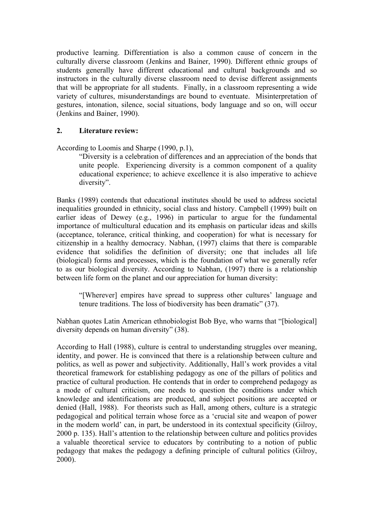productive learning. Differentiation is also a common cause of concern in the culturally diverse classroom (Jenkins and Bainer, 1990). Different ethnic groups of students generally have different educational and cultural backgrounds and so instructors in the culturally diverse classroom need to devise different assignments that will be appropriate for all students. Finally, in a classroom representing a wide variety of cultures, misunderstandings are bound to eventuate. Misinterpretation of gestures, intonation, silence, social situations, body language and so on, will occur (Jenkins and Bainer, 1990).

## **2. Literature review:**

According to Loomis and Sharpe (1990, p.1),

"Diversity is a celebration of differences and an appreciation of the bonds that unite people. Experiencing diversity is a common component of a quality educational experience; to achieve excellence it is also imperative to achieve diversity".

Banks (1989) contends that educational institutes should be used to address societal inequalities grounded in ethnicity, social class and history. Campbell (1999) built on earlier ideas of Dewey (e.g., 1996) in particular to argue for the fundamental importance of multicultural education and its emphasis on particular ideas and skills (acceptance, tolerance, critical thinking, and cooperation) for what is necessary for citizenship in a healthy democracy. Nabhan, (1997) claims that there is comparable evidence that solidifies the definition of diversity; one that includes all life (biological) forms and processes, which is the foundation of what we generally refer to as our biological diversity. According to Nabhan, (1997) there is a relationship between life form on the planet and our appreciation for human diversity:

"[Wherever] empires have spread to suppress other cultures' language and tenure traditions. The loss of biodiversity has been dramatic" (37).

Nabhan quotes Latin American ethnobiologist Bob Bye, who warns that "[biological] diversity depends on human diversity" (38).

According to Hall (1988), culture is central to understanding struggles over meaning, identity, and power. He is convinced that there is a relationship between culture and politics, as well as power and subjectivity. Additionally, Hall's work provides a vital theoretical framework for establishing pedagogy as one of the pillars of politics and practice of cultural production. He contends that in order to comprehend pedagogy as a mode of cultural criticism, one needs to question the conditions under which knowledge and identifications are produced, and subject positions are accepted or denied (Hall, 1988). For theorists such as Hall, among others, culture is a strategic pedagogical and political terrain whose force as a 'crucial site and weapon of power in the modern world' can, in part, be understood in its contextual specificity (Gilroy, 2000 p. 135). Hall's attention to the relationship between culture and politics provides a valuable theoretical service to educators by contributing to a notion of public pedagogy that makes the pedagogy a defining principle of cultural politics (Gilroy, 2000).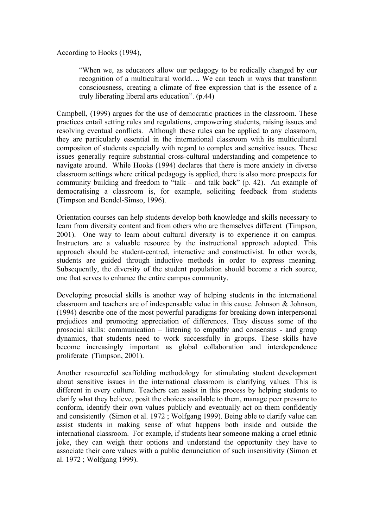According to Hooks (1994),

"When we, as educators allow our pedagogy to be redically changed by our recognition of a multicultural world…. We can teach in ways that transform consciousness, creating a climate of free expression that is the essence of a truly liberating liberal arts education". (p.44)

Campbell, (1999) argues for the use of democratic practices in the classroom. These practices entail setting rules and regulations, empowering students, raising issues and resolving eventual conflicts. Although these rules can be applied to any classroom, they are particularly essential in the international classroom with its multicultural compositon of students especially with regard to complex and sensitive issues. These issues generally require substantial cross-cultural understanding and competence to navigate around. While Hooks (1994) declares that there is more anxiety in diverse classroom settings where critical pedagogy is applied, there is also more prospects for community building and freedom to "talk – and talk back" (p. 42). An example of democratising a classroom is, for example, soliciting feedback from students (Timpson and Bendel-Simso, 1996).

Orientation courses can help students develop both knowledge and skills necessary to learn from diversity content and from others who are themselves different (Timpson, 2001). One way to learn about cultural diversity is to experience it on campus. Instructors are a valuable resource by the instructional approach adopted. This approach should be student-centred, interactive and constructivist. In other words, students are guided through inductive methods in order to express meaning. Subsequently, the diversity of the student population should become a rich source, one that serves to enhance the entire campus community.

Developing prosocial skills is another way of helping students in the international classroom and teachers are of indespensable value in this cause. Johnson & Johnson, (1994) describe one of the most powerful paradigms for breaking down interpersonal prejudices and promoting appreciation of differences. They discuss some of the prosocial skills: communication – listening to empathy and consensus - and group dynamics, that students need to work successfully in groups. These skills have become increasingly important as global collaboration and interdependence proliferate (Timpson, 2001).

Another resourceful scaffolding methodology for stimulating student development about sensitive issues in the international classroom is clarifying values. This is different in every culture. Teachers can assist in this process by helping students to clarify what they believe, posit the choices available to them, manage peer pressure to conform, identify their own values publicly and eventually act on them confidently and consistently (Simon et al. 1972 ; Wolfgang 1999). Being able to clarify value can assist students in making sense of what happens both inside and outside the international classroom. For example, if students hear someone making a cruel ethnic joke, they can weigh their options and understand the opportunity they have to associate their core values with a public denunciation of such insensitivity (Simon et al. 1972 ; Wolfgang 1999).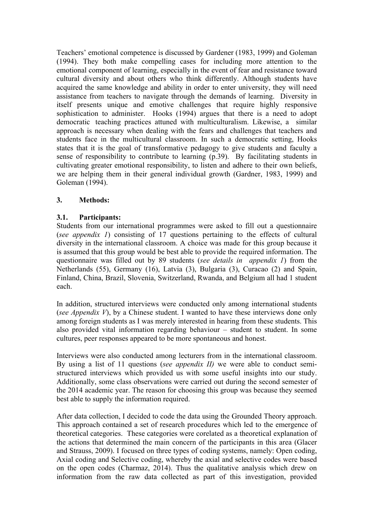Teachers' emotional competence is discussed by Gardener (1983, 1999) and Goleman (1994). They both make compelling cases for including more attention to the emotional component of learning, especially in the event of fear and resistance toward cultural diversity and about others who think differently. Although students have acquired the same knowledge and ability in order to enter university, they will need assistance from teachers to navigate through the demands of learning. Diversity in itself presents unique and emotive challenges that require highly responsive sophistication to administer. Hooks (1994) argues that there is a need to adopt democratic teaching practices attuned with multiculturalism. Likewise, a similar approach is necessary when dealing with the fears and challenges that teachers and students face in the multicultural classroom. In such a democratic setting, Hooks states that it is the goal of transformative pedagogy to give students and faculty a sense of responsibility to contribute to learning (p.39). By facilitating students in cultivating greater emotional responsibility, to listen and adhere to their own beliefs, we are helping them in their general individual growth (Gardner, 1983, 1999) and Goleman (1994).

## **3. Methods:**

## **3.1. Participants:**

Students from our international programmes were asked to fill out a questionnaire (*see appendix 1*) consisting of 17 questions pertaining to the effects of cultural diversity in the international classroom. A choice was made for this group because it is assumed that this group would be best able to provide the required information. The questionnaire was filled out by 89 students (*see details in appendix 1*) from the Netherlands (55), Germany (16), Latvia (3), Bulgaria (3), Curacao (2) and Spain, Finland, China, Brazil, Slovenia, Switzerland, Rwanda, and Belgium all had 1 student each.

In addition, structured interviews were conducted only among international students (*see Appendix V*), by a Chinese student. I wanted to have these interviews done only among foreign students as I was merely interested in hearing from these students. This also provided vital information regarding behaviour – student to student. In some cultures, peer responses appeared to be more spontaneous and honest.

Interviews were also conducted among lecturers from in the international classroom. By using a list of 11 questions (*see appendix II)* we were able to conduct semistructured interviews which provided us with some useful insights into our study. Additionally, some class observations were carried out during the second semester of the 2014 academic year. The reason for choosing this group was because they seemed best able to supply the information required.

After data collection, I decided to code the data using the Grounded Theory approach. This approach contained a set of research procedures which led to the emergence of theoretical categories. These categories were corelated as a theoretical explanation of the actions that determined the main concern of the participants in this area (Glacer and Strauss, 2009). I focused on three types of coding systems, namely: Open coding, Axial coding and Selective coding, whereby the axial and selective codes were based on the open codes (Charmaz, 2014). Thus the qualitative analysis which drew on information from the raw data collected as part of this investigation, provided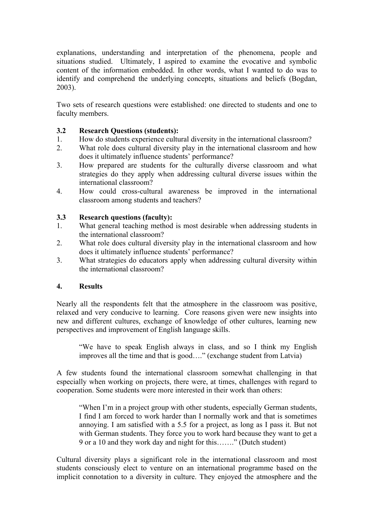explanations, understanding and interpretation of the phenomena, people and situations studied. Ultimately, I aspired to examine the evocative and symbolic content of the information embedded. In other words, what I wanted to do was to identify and comprehend the underlying concepts, situations and beliefs (Bogdan, 2003).

Two sets of research questions were established: one directed to students and one to faculty members.

## **3.2 Research Questions (students):**

- 1. How do students experience cultural diversity in the international classroom?
- 2. What role does cultural diversity play in the international classroom and how does it ultimately influence students' performance?
- 3. How prepared are students for the culturally diverse classroom and what strategies do they apply when addressing cultural diverse issues within the international classroom?
- 4. How could cross-cultural awareness be improved in the international classroom among students and teachers?

## **3.3 Research questions (faculty):**

- 1. What general teaching method is most desirable when addressing students in the international classroom?
- 2. What role does cultural diversity play in the international classroom and how does it ultimately influence students' performance?
- 3. What strategies do educators apply when addressing cultural diversity within the international classroom?

# **4. Results**

Nearly all the respondents felt that the atmosphere in the classroom was positive, relaxed and very conducive to learning. Core reasons given were new insights into new and different cultures, exchange of knowledge of other cultures, learning new perspectives and improvement of English language skills.

"We have to speak English always in class, and so I think my English improves all the time and that is good…." (exchange student from Latvia)

A few students found the international classroom somewhat challenging in that especially when working on projects, there were, at times, challenges with regard to cooperation. Some students were more interested in their work than others:

"When I'm in a project group with other students, especially German students, I find I am forced to work harder than I normally work and that is sometimes annoying. I am satisfied with a 5.5 for a project, as long as I pass it. But not with German students. They force you to work hard because they want to get a 9 or a 10 and they work day and night for this……." (Dutch student)

Cultural diversity plays a significant role in the international classroom and most students consciously elect to venture on an international programme based on the implicit connotation to a diversity in culture. They enjoyed the atmosphere and the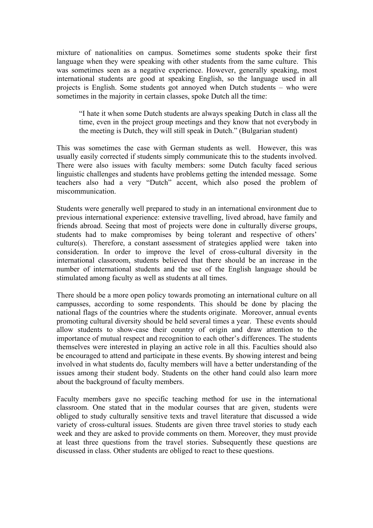mixture of nationalities on campus. Sometimes some students spoke their first language when they were speaking with other students from the same culture. This was sometimes seen as a negative experience. However, generally speaking, most international students are good at speaking English, so the language used in all projects is English. Some students got annoyed when Dutch students – who were sometimes in the majority in certain classes, spoke Dutch all the time:

"I hate it when some Dutch students are always speaking Dutch in class all the time, even in the project group meetings and they know that not everybody in the meeting is Dutch, they will still speak in Dutch." (Bulgarian student)

This was sometimes the case with German students as well. However, this was usually easily corrected if students simply communicate this to the students involved. There were also issues with faculty members: some Dutch faculty faced serious linguistic challenges and students have problems getting the intended message. Some teachers also had a very "Dutch" accent, which also posed the problem of miscommunication.

Students were generally well prepared to study in an international environment due to previous international experience: extensive travelling, lived abroad, have family and friends abroad. Seeing that most of projects were done in culturally diverse groups, students had to make compromises by being tolerant and respective of others' culture(s). Therefore, a constant assessment of strategies applied were taken into consideration. In order to improve the level of cross-cultural diversity in the international classroom, students believed that there should be an increase in the number of international students and the use of the English language should be stimulated among faculty as well as students at all times.

There should be a more open policy towards promoting an international culture on all campusses, according to some respondents. This should be done by placing the national flags of the countries where the students originate. Moreover, annual events promoting cultural diversity should be held several times a year. These events should allow students to show-case their country of origin and draw attention to the importance of mutual respect and recognition to each other's differences. The students themselves were interested in playing an active role in all this. Faculties should also be encouraged to attend and participate in these events. By showing interest and being involved in what students do, faculty members will have a better understanding of the issues among their student body. Students on the other hand could also learn more about the background of faculty members.

Faculty members gave no specific teaching method for use in the international classroom. One stated that in the modular courses that are given, students were obliged to study culturally sensitive texts and travel literature that discussed a wide variety of cross-cultural issues. Students are given three travel stories to study each week and they are asked to provide comments on them. Moreover, they must provide at least three questions from the travel stories. Subsequently these questions are discussed in class. Other students are obliged to react to these questions.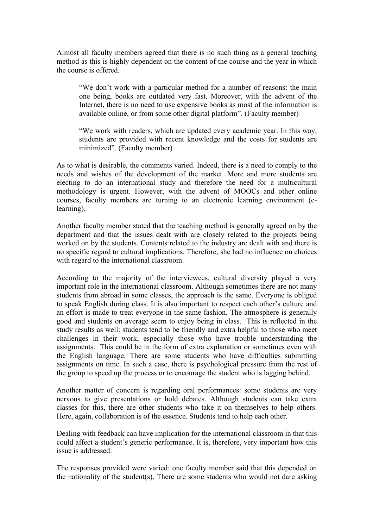Almost all faculty members agreed that there is no such thing as a general teaching method as this is highly dependent on the content of the course and the year in which the course is offered.

"We don't work with a particular method for a number of reasons: the main one being, books are outdated very fast. Moreover, with the advent of the Internet, there is no need to use expensive books as most of the information is available online, or from some other digital platform". (Faculty member)

"We work with readers, which are updated every academic year. In this way, students are provided with recent knowledge and the costs for students are minimized". (Faculty member)

As to what is desirable, the comments varied. Indeed, there is a need to comply to the needs and wishes of the development of the market. More and more students are electing to do an international study and therefore the need for a multicultural methodology is urgent. However, with the advent of MOOCs and other online courses, faculty members are turning to an electronic learning environment (elearning).

Another faculty member stated that the teaching method is generally agreed on by the department and that the issues dealt with are closely related to the projects being worked on by the students. Contents related to the industry are dealt with and there is no specific regard to cultural implications. Therefore, she had no influence on choices with regard to the international classroom.

According to the majority of the interviewees, cultural diversity played a very important role in the international classroom. Although sometimes there are not many students from abroad in some classes, the approach is the same. Everyone is obliged to speak English during class. It is also important to respect each other's culture and an effort is made to treat everyone in the same fashion. The atmosphere is generally good and students on average seem to enjoy being in class. This is reflected in the study results as well: students tend to be friendly and extra helpful to those who meet challenges in their work, especially those who have trouble understanding the assignments. This could be in the form of extra explanation or sometimes even with the English language. There are some students who have difficulties submitting assignments on time. In such a case, there is psychological pressure from the rest of the group to speed up the process or to encourage the student who is lagging behind.

Another matter of concern is regarding oral performances: some students are very nervous to give presentations or hold debates. Although students can take extra classes for this, there are other students who take it on themselves to help others. Here, again, collaboration is of the essence. Students tend to help each other.

Dealing with feedback can have implication for the international classroom in that this could affect a student's generic performance. It is, therefore, very important how this issue is addressed.

The responses provided were varied: one faculty member said that this depended on the nationality of the student(s). There are some students who would not dare asking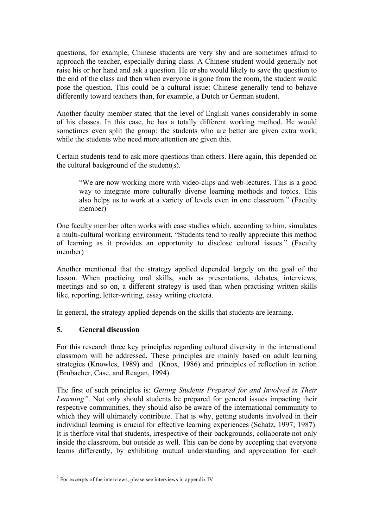questions, for example, Chinese students are very shy and are sometimes afraid to approach the teacher, especially during class. A Chinese student would generally not raise his or her hand and ask a question. He or she would likely to save the question to the end of the class and then when everyone is gone from the room, the student would pose the question. This could be a cultural issue: Chinese generally tend to behave differently toward teachers than, for example, a Dutch or German student.

Another faculty member stated that the level of English varies considerably in some of his classes. In this case, he has a totally different working method. He would sometimes even split the group: the students who are better are given extra work, while the students who need more attention are given this.

Certain students tend to ask more questions than others. Here again, this depended on the cultural background of the student(s).

"We are now working more with video-clips and web-lectures. This is a good way to integrate more culturally diverse learning methods and topics. This also helps us to work at a variety of levels even in one classroom." (Faculty member $)^2$ 

One faculty member often works with case studies which, according to him, simulates a multi-cultural working environment. "Students tend to really appreciate this method of learning as it provides an opportunity to disclose cultural issues." (Faculty member)

Another mentioned that the strategy applied depended largely on the goal of the lesson. When practicing oral skills, such as presentations, debates, interviews, meetings and so on, a different strategy is used than when practising written skills like, reporting, letter-writing, essay writing etcetera.

In general, the strategy applied depends on the skills that students are learning.

# **5. General discussion**

 $\overline{a}$ 

For this research three key principles regarding cultural diversity in the international classroom will be addressed. These principles are mainly based on adult learning strategies (Knowles, 1989) and (Knox, 1986) and principles of reflection in action (Brubacher, Case, and Reagan, 1994).

The first of such principles is: *Getting Students Prepared for and Involved in Their Learning"*. Not only should students be prepared for general issues impacting their respective communities, they should also be aware of the international community to which they will ultimately contribute. That is why, getting students involved in their individual learning is crucial for effective learning experiences (Schatz, 1997; 1987). It is therfore vital that students, irrespective of their backgrounds, collaborate not only inside the classroom, but outside as well. This can be done by accepting that everyone learns differently, by exhibiting mutual understanding and appreciation for each

 $2 \text{ For excerpts of the interviews, please see interviews in appendix IV.}$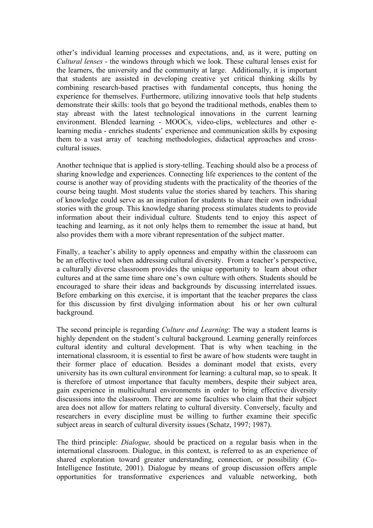other's individual learning processes and expectations, and, as it were, putting on *Cultural lenses* - the windows through which we look. These cultural lenses exist for the learners, the university and the community at large. Additionally, it is important that students are assisted in developing creative yet critical thinking skills by combining research-based practises with fundamental concepts, thus honing the experience for themselves. Furthermore, utilizing innovative tools that help students demonstrate their skills: tools that go beyond the traditional methods, enables them to stay abreast with the latest technological innovations in the current learning environment. Blended learning - MOOCs, video-clips, weblectures and other elearning media - enriches students' experience and communication skills by exposing them to a vast array of teaching methodologies, didactical approaches and crosscultural issues.

Another technique that is applied is story-telling. Teaching should also be a process of sharing knowledge and experiences. Connecting life experiences to the content of the course is another way of providing students with the practicality of the theories of the course being taught. Most students value the stories shared by teachers. This sharing of knowledge could serve as an inspiration for students to share their own individual stories with the group. This knowledge sharing process stimulates students to provide information about their individual culture. Students tend to enjoy this aspect of teaching and learning, as it not only helps them to remember the issue at hand, but also provides them with a more vibrant representation of the subject matter.

Finally, a teacher's ability to apply openness and empathy within the classroom can be an effective tool when addressing cultural diversity. From a teacher's perspective, a culturally diverse classroom provides the unique opportunity to learn about other cultures and at the same time share one's own culture with others. Students should be encouraged to share their ideas and backgrounds by discussing interrelated issues. Before embarking on this exercise, it is important that the teacher prepares the class for this discussion by first divulging information about his or her own cultural background.

The second principle is regarding *Culture and Learning*: The way a student learns is highly dependent on the student's cultural background. Learning generally reinforces cultural identity and cultural development. That is why when teaching in the international classroom, it is essential to first be aware of how students were taught in their former place of education. Besides a dominant model that exists, every university has its own cultural environment for learning: a cultural map, so to speak. It is therefore of utmost importance that faculty members, despite their subject area, gain experience in multicultural environments in order to bring effective diversity discussions into the classroom. There are some faculties who claim that their subject area does not allow for matters relating to cultural diversity. Conversely, faculty and researchers in every discipline must be willing to further examine their specific subject areas in search of cultural diversity issues (Schatz, 1997; 1987).

The third principle: *Dialogue,* should be practiced on a regular basis when in the international classroom. Dialogue, in this context, is referred to as an experience of shared exploration toward greater understanding, connection, or possibility (Co-Intelligence Institute, 2001). Dialogue by means of group discussion offers ample opportunities for transformative experiences and valuable networking, both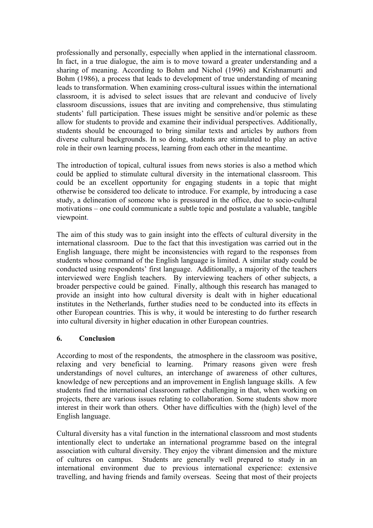professionally and personally, especially when applied in the international classroom. In fact, in a true dialogue, the aim is to move toward a greater understanding and a sharing of meaning. According to Bohm and Nichol (1996) and Krishnamurti and Bohm (1986), a process that leads to development of true understanding of meaning leads to transformation. When examining cross-cultural issues within the international classroom, it is advised to select issues that are relevant and conducive of lively classroom discussions, issues that are inviting and comprehensive, thus stimulating students' full participation. These issues might be sensitive and/or polemic as these allow for students to provide and examine their individual perspectives. Additionally, students should be encouraged to bring similar texts and articles by authors from diverse cultural backgrounds. In so doing, students are stimulated to play an active role in their own learning process, learning from each other in the meantime.

The introduction of topical, cultural issues from news stories is also a method which could be applied to stimulate cultural diversity in the international classroom. This could be an excellent opportunity for engaging students in a topic that might otherwise be considered too delicate to introduce. For example, by introducing a case study, a delineation of someone who is pressured in the office, due to socio-cultural motivations – one could communicate a subtle topic and postulate a valuable, tangible viewpoint.

The aim of this study was to gain insight into the effects of cultural diversity in the international classroom. Due to the fact that this investigation was carried out in the English language, there might be inconsistencies with regard to the responses from students whose command of the English language is limited. A similar study could be conducted using respondents' first language. Additionally, a majority of the teachers interviewed were English teachers. By interviewing teachers of other subjects, a broader perspective could be gained. Finally, although this research has managed to provide an insight into how cultural diversity is dealt with in higher educational institutes in the Netherlands, further studies need to be conducted into its effects in other European countries. This is why, it would be interesting to do further research into cultural diversity in higher education in other European countries.

## **6. Conclusion**

According to most of the respondents, the atmosphere in the classroom was positive, relaxing and very beneficial to learning. Primary reasons given were fresh understandings of novel cultures, an interchange of awareness of other cultures, knowledge of new perceptions and an improvement in English language skills. A few students find the international classroom rather challenging in that, when working on projects, there are various issues relating to collaboration. Some students show more interest in their work than others. Other have difficulties with the (high) level of the English language.

Cultural diversity has a vital function in the international classroom and most students intentionally elect to undertake an international programme based on the integral association with cultural diversity. They enjoy the vibrant dimension and the mixture of cultures on campus. Students are generally well prepared to study in an international environment due to previous international experience: extensive travelling, and having friends and family overseas. Seeing that most of their projects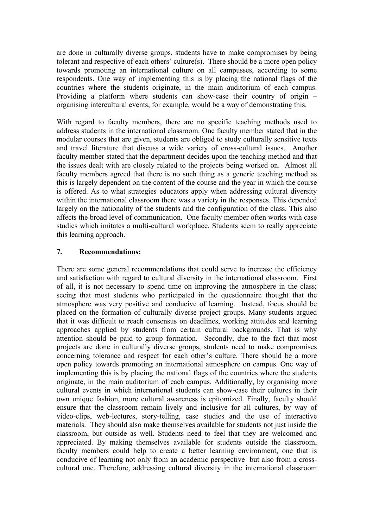are done in culturally diverse groups, students have to make compromises by being tolerant and respective of each others' culture(s). There should be a more open policy towards promoting an international culture on all campusses, according to some respondents. One way of implementing this is by placing the national flags of the countries where the students originate, in the main auditorium of each campus. Providing a platform where students can show-case their country of origin – organising intercultural events, for example, would be a way of demonstrating this.

With regard to faculty members, there are no specific teaching methods used to address students in the international classroom. One faculty member stated that in the modular courses that are given, students are obliged to study culturally sensitive texts and travel literature that discuss a wide variety of cross-cultural issues. Another faculty member stated that the department decides upon the teaching method and that the issues dealt with are closely related to the projects being worked on. Almost all faculty members agreed that there is no such thing as a generic teaching method as this is largely dependent on the content of the course and the year in which the course is offered. As to what strategies educators apply when addressing cultural diversity within the international classroom there was a variety in the responses. This depended largely on the nationality of the students and the configuration of the class. This also affects the broad level of communication. One faculty member often works with case studies which imitates a multi-cultural workplace. Students seem to really appreciate this learning approach.

# **7. Recommendations:**

There are some general recommendations that could serve to increase the efficiency and satisfaction with regard to cultural diversity in the international classroom. First of all, it is not necessary to spend time on improving the atmosphere in the class; seeing that most students who participated in the questionnaire thought that the atmosphere was very positive and conducive of learning. Instead, focus should be placed on the formation of culturally diverse project groups. Many students argued that it was difficult to reach consensus on deadlines, working attitudes and learning approaches applied by students from certain cultural backgrounds. That is why attention should be paid to group formation. Secondly, due to the fact that most projects are done in culturally diverse groups, students need to make compromises concerning tolerance and respect for each other's culture. There should be a more open policy towards promoting an international atmosphere on campus. One way of implementing this is by placing the national flags of the countries where the students originate, in the main auditorium of each campus. Additionally, by organising more cultural events in which international students can show-case their cultures in their own unique fashion, more cultural awareness is epitomized. Finally, faculty should ensure that the classroom remain lively and inclusive for all cultures, by way of video-clips, web-lectures, story-telling, case studies and the use of interactive materials. They should also make themselves available for students not just inside the classroom, but outside as well. Students need to feel that they are welcomed and appreciated. By making themselves available for students outside the classroom, faculty members could help to create a better learning environment, one that is conducive of learning not only from an academic perspective but also from a crosscultural one. Therefore, addressing cultural diversity in the international classroom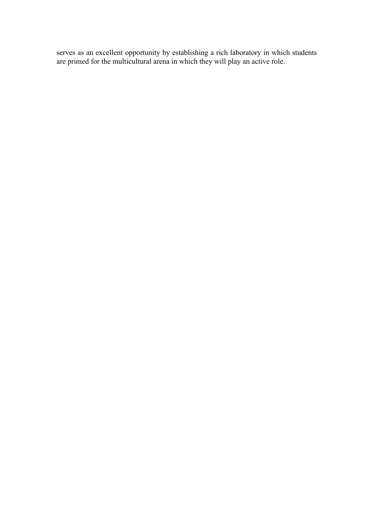serves as an excellent opportunity by establishing a rich laboratory in which students are primed for the multicultural arena in which they will play an active role.